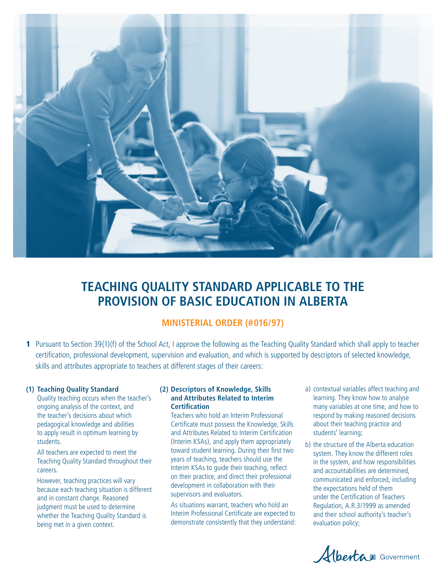

# **TEACHING QUALITY STANDARD APPLICABLE TO THE PROVISION OF BASIC EDUCATION IN ALBERTA**

# **MINISTERIAL ORDER (#016/97)**

**1** Pursuant to Section 39(1)(f) of the School Act, I approve the following as the Teaching Quality Standard which shall apply to teacher certification, professional development, supervision and evaluation, and which is supported by descriptors of selected knowledge, skills and attributes appropriate to teachers at different stages of their careers:

### **(1) Teaching Quality Standard**

- Quality teaching occurs when the teacher's ongoing analysis of the context, and the teacher's decisions about which pedagogical knowledge and abilities to apply result in optimum learning by students.
- All teachers are expected to meet the Teaching Quality Standard throughout their careers.
- However, teaching practices will vary because each teaching situation is different and in constant change. Reasoned judgment must be used to determine whether the Teaching Quality Standard is being met in a given context.

#### **(2) Descriptors of Knowledge, Skills and Attributes Related to Interim Certifi cation**

Teachers who hold an Interim Professional Certificate must possess the Knowledge, Skills and Attributes Related to Interim Certification (Interim KSAs), and apply them appropriately toward student learning. During their first two years of teaching, teachers should use the Interim KSAs to quide their teaching, reflect on their practice, and direct their professional development in collaboration with their supervisors and evaluators.

As situations warrant, teachers who hold an Interim Professional Certificate are expected to demonstrate consistently that they understand:

- a) contextual variables affect teaching and learning. They know how to analyse many variables at one time, and how to respond by making reasoned decisions about their teaching practice and students' learning;
- b) the structure of the Alberta education system. They know the different roles in the system, and how responsibilities and accountabilities are determined, communicated and enforced, including the expectations held of them under the Certification of Teachers Regulation, A.R.3/1999 as amended and their school authority's teacher's evaluation policy;

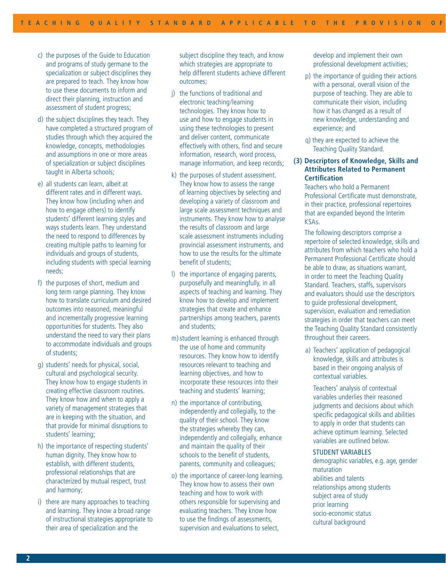- c) the purposes of the Guide to Education and programs of study germane to the specialization or subject disciplines they are prepared to teach. They know how to use these documents to inform and direct their planning, instruction and assessment of student progress;
- d) the subject disciplines they teach. They have completed a structured program of studies through which they acquired the knowledge, concepts, methodologies and assumptions in one or more areas of specialization or subject disciplines taught in Alberta schools;
- e) all students can learn, albeit at different rates and in different ways. They know how (including when and how to engage others) to identify students' different learning styles and ways students learn. They understand the need to respond to differences by creating multiple paths to learning for individuals and groups of students, including students with special learning needs;
- f) the purposes of short, medium and long term range planning. They know how to translate curriculum and desired outcomes into reasoned, meaningful and incrementally progressive learning opportunities for students. They also understand the need to vary their plans to accommodate individuals and groups of students;
- g) students' needs for physical, social, cultural and psychological security. They know how to engage students in creating effective classroom routines. They know how and when to apply a variety of management strategies that are in keeping with the situation, and that provide for minimal disruptions to students' learning;
- h) the importance of respecting students' human dignity. They know how to establish, with different students, professional relationships that are characterized by mutual respect, trust and harmony;
- i) there are many approaches to teaching and learning. They know a broad range of instructional strategies appropriate to their area of specialization and the

subject discipline they teach, and know which strategies are appropriate to help different students achieve different outcomes;

- j) the functions of traditional and electronic teaching/learning technologies. They know how to use and how to engage students in using these technologies to present and deliver content, communicate effectively with others, find and secure information, research, word process, manage information, and keep records;
- k) the purposes of student assessment. They know how to assess the range of learning objectives by selecting and developing a variety of classroom and large scale assessment techniques and instruments. They know how to analyse the results of classroom and large scale assessment instruments including provincial assessment instruments, and how to use the results for the ultimate benefit of students;
- l) the importance of engaging parents, purposefully and meaningfully, in all aspects of teaching and learning. They know how to develop and implement strategies that create and enhance partnerships among teachers, parents and students;
- m) student learning is enhanced through the use of home and community resources. They know how to identify resources relevant to teaching and learning objectives, and how to incorporate these resources into their teaching and students' learning;
- n) the importance of contributing, independently and collegially, to the quality of their school. They know the strategies whereby they can, independently and collegially, enhance and maintain the quality of their schools to the benefit of students, parents, community and colleagues;
- o) the importance of career-long learning. They know how to assess their own teaching and how to work with others responsible for supervising and evaluating teachers. They know how to use the findings of assessments, supervision and evaluations to select,

develop and implement their own professional development activities;

- p) the importance of guiding their actions with a personal, overall vision of the purpose of teaching. They are able to communicate their vision, including how it has changed as a result of new knowledge, understanding and experience; and
- q) they are expected to achieve the Teaching Quality Standard.
- **(3) Descriptors of Knowledge, Skills and Attributes Related to Permanent Certification**

Teachers who hold a Permanent Professional Certificate must demonstrate, in their practice, professional repertoires that are expanded beyond the Interim KSAs.

The following descriptors comprise a repertoire of selected knowledge, skills and attributes from which teachers who hold a Permanent Professional Certificate should be able to draw, as situations warrant, in order to meet the Teaching Quality Standard. Teachers, staffs, supervisors and evaluators should use the descriptors to guide professional development, supervision, evaluation and remediation strategies in order that teachers can meet the Teaching Quality Standard consistently throughout their careers.

a) Teachers' application of pedagogical knowledge, skills and attributes is based in their ongoing analysis of contextual variables.

 Teachers' analysis of contextual variables underlies their reasoned judgments and decisions about which specific pedagogical skills and abilities to apply in order that students can achieve optimum learning. Selected variables are outlined below.

#### STUDENT VARIABLES

demographic variables, e.g. age, gender maturation abilities and talents relationships among students subject area of study prior learning socio-economic status cultural background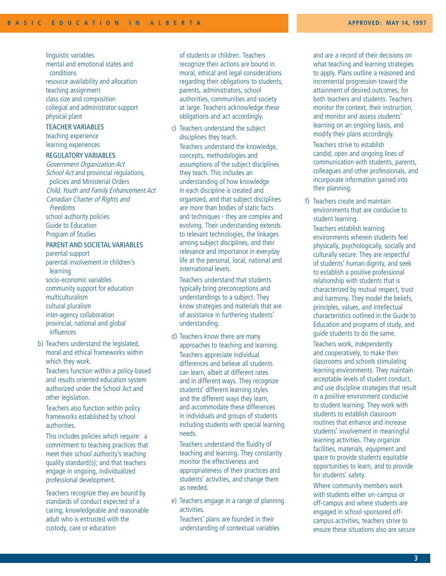linguistic variables mental and emotional states and conditions resource availability and allocation teaching assignment class size and composition collegial and administrator support physical plant

## TEACHER VARIABLES

teaching experience learning experiences

#### REGULATORY VARIABLES

Government Organization Act School Act and provincial regulations, policies and Ministerial Orders Child, Youth and Family Enhancement Act Canadian Charter of Rights and Freedoms school authority policies Guide to Education Program of Studies

#### PARENT AND SOCIETAL VARIABLES

parental support parental involvement in children's learning socio-economic variables community support for education multiculturalism cultural pluralism inter-agency collaboration provincial, national and global influences

b) Teachers understand the legislated, moral and ethical frameworks within which they work.

Teachers function within a policy-based and results oriented education system authorized under the School Act and other legislation.

Teachers also function within policy frameworks established by school authorities.

This includes policies which require: a commitment to teaching practices that meet their school authority's teaching quality standard(s); and that teachers engage in ongoing, individualized professional development.

 Teachers recognize they are bound by standards of conduct expected of a caring, knowledgeable and reasonable adult who is entrusted with the custody, care or education

of students or children. Teachers recognize their actions are bound in moral, ethical and legal considerations regarding their obligations to students, parents, administrators, school authorities, communities and society at large. Teachers acknowledge these obligations and act accordingly.

c) Teachers understand the subject disciplines they teach. Teachers understand the knowledge,

concepts, methodologies and assumptions of the subject disciplines they teach. This includes an understanding of how knowledge in each discipline is created and organized, and that subject disciplines are more than bodies of static facts and techniques - they are complex and evolving. Their understanding extends to relevant technologies, the linkages among subject disciplines, and their relevance and importance in everyday life at the personal, local, national and international levels.

Teachers understand that students typically bring preconceptions and understandings to a subject. They know strategies and materials that are of assistance in furthering students' understanding.

d) Teachers know there are many approaches to teaching and learning. Teachers appreciate individual differences and believe all students can learn, albeit at different rates and in different ways. They recognize students' different learning styles and the different ways they learn, and accommodate these differences in individuals and groups of students including students with special learning needs.

Teachers understand the fluidity of teaching and learning. They constantly monitor the effectiveness and appropriateness of their practices and students' activities, and change them as needed.

e) Teachers engage in a range of planning activities.

Teachers' plans are founded in their understanding of contextual variables

and are a record of their decisions on what teaching and learning strategies to apply. Plans outline a reasoned and incremental progression toward the attainment of desired outcomes, for both teachers and students. Teachers monitor the context, their instruction, and monitor and assess students' learning on an ongoing basis, and modify their plans accordingly.

Teachers strive to establish candid, open and ongoing lines of communication with students, parents, colleagues and other professionals, and incorporate information gained into their planning.

f) Teachers create and maintain environments that are conducive to student learning. Teachers establish learning environments wherein students feel physically, psychologically, socially and culturally secure. They are respectful of students' human dignity, and seek to establish a positive professional relationship with students that is characterized by mutual respect, trust and harmony. They model the beliefs, principles, values, and intellectual characteristics outlined in the Guide to Education and programs of study, and guide students to do the same.

Teachers work, independently and cooperatively, to make their classrooms and schools stimulating learning environments. They maintain acceptable levels of student conduct, and use discipline strategies that result in a positive environment conducive to student learning. They work with students to establish classroom routines that enhance and increase students' involvement in meaningful learning activities. They organize facilities, materials, equipment and space to provide students equitable opportunities to learn, and to provide for students' safety.

Where community members work with students either on-campus or off-campus and where students are engaged in school-sponsored offcampus activities, teachers strive to ensure these situations also are secure